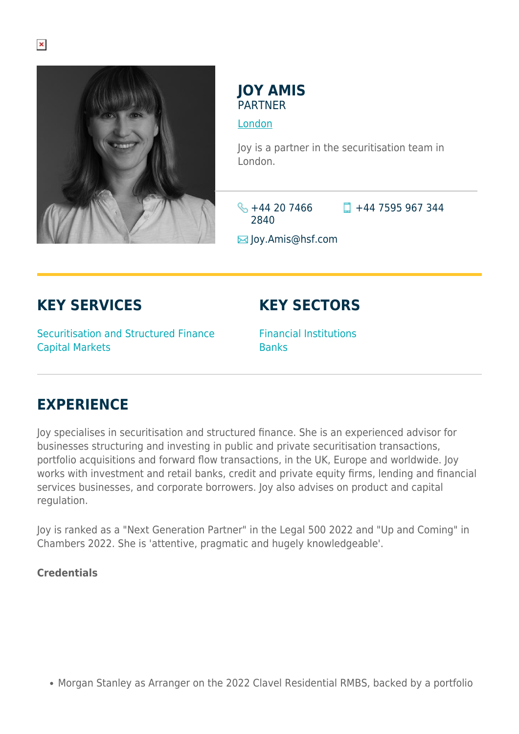

### **JOY AMIS PARTNER**

[London](https://www.herbertsmithfreehills.com/where-we-work/london)

Joy is a partner in the securitisation team in London.

 $\frac{1}{2}$  +44 20 7466 2840

 $\Box$  +44 7595 967 344

 $\boxtimes$  Joy.Amis@hsf.com

# **KEY SERVICES**

## **KEY SECTORS**

Securitisation and Structured Finance Capital Markets

Financial Institutions **Banks** 

# **EXPERIENCE**

Joy specialises in securitisation and structured finance. She is an experienced advisor for businesses structuring and investing in public and private securitisation transactions, portfolio acquisitions and forward flow transactions, in the UK, Europe and worldwide. Joy works with investment and retail banks, credit and private equity firms, lending and financial services businesses, and corporate borrowers. Joy also advises on product and capital regulation.

Joy is ranked as a "Next Generation Partner" in the Legal 500 2022 and "Up and Coming" in Chambers 2022. She is 'attentive, pragmatic and hugely knowledgeable'.

#### **Credentials**

Morgan Stanley as Arranger on the 2022 Clavel Residential RMBS, backed by a portfolio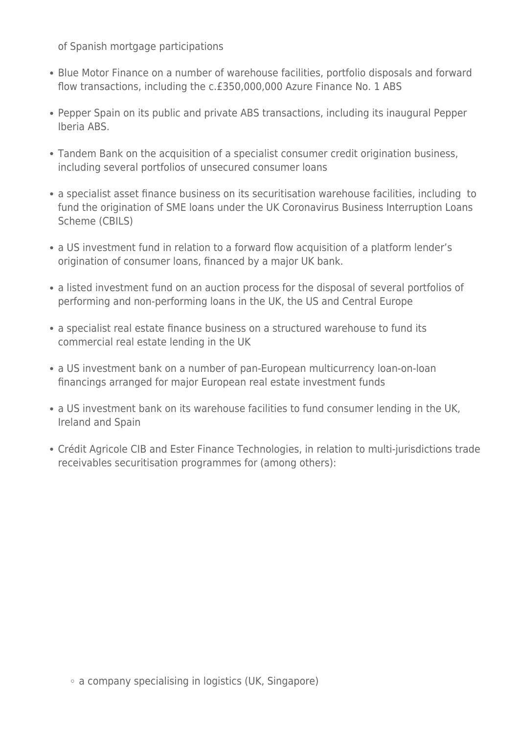of Spanish mortgage participations

- Blue Motor Finance on a number of warehouse facilities, portfolio disposals and forward flow transactions, including the c.£350,000,000 Azure Finance No. 1 ABS
- Pepper Spain on its public and private ABS transactions, including its inaugural Pepper Iberia ABS.
- Tandem Bank on the acquisition of a specialist consumer credit origination business, including several portfolios of unsecured consumer loans
- a specialist asset finance business on its securitisation warehouse facilities, including to fund the origination of SME loans under the UK Coronavirus Business Interruption Loans Scheme (CBILS)
- a US investment fund in relation to a forward flow acquisition of a platform lender's origination of consumer loans, financed by a major UK bank.
- a listed investment fund on an auction process for the disposal of several portfolios of performing and non-performing loans in the UK, the US and Central Europe
- a specialist real estate finance business on a structured warehouse to fund its commercial real estate lending in the UK
- a US investment bank on a number of pan-European multicurrency loan-on-loan financings arranged for major European real estate investment funds
- a US investment bank on its warehouse facilities to fund consumer lending in the UK, Ireland and Spain
- Crédit Agricole CIB and Ester Finance Technologies, in relation to multi-jurisdictions trade receivables securitisation programmes for (among others):